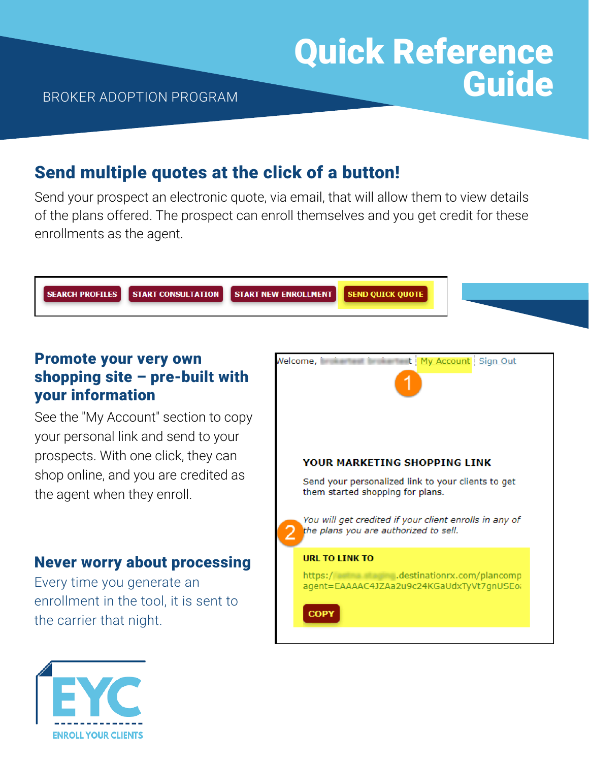# Send multiple quotes at the click of a button!

Send your prospect an electronic quote, via email, that will allow them to view details of the plans offered. The prospect can enroll themselves and you get credit for these enrollments as the agent.



#### Promote your very own shopping site – pre-built with your information

See the "My Account" section to copy your personal link and send to your prospects. With one click, they can shop online, and you are credited as the agent when they enroll.

#### Never worry about processing

Every time you generate an enrollment in the tool, it is sent to the carrier that night.



Quick Reference

Guide